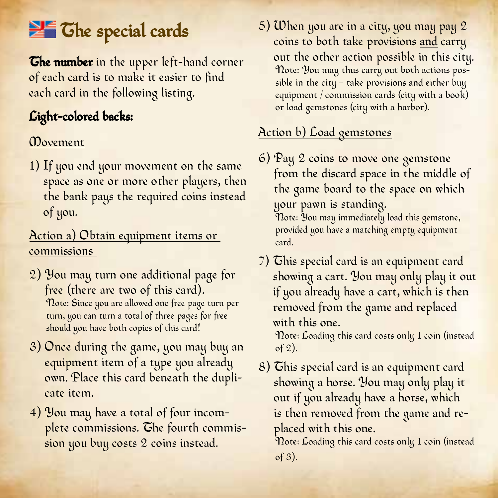# The special cards

The number in the upper left-hand corner of each card is to make it easier to find each card in the following listing.

# Light-colored backs:

#### **Movement**

1) If you end your movement on the same space as one or more other players, then the bank pays the required coins instead of you.

#### Action a) Obtain equipment items or commissions

- 2) You may turn one additional page for free (there are two of this card).<br>Note: Since you are allowed one free page turn per turn, you can turn a total of three pages for free should you have both copies of this card!
- 3) Once during the game, you may buy an equipment item of a type you already own. Place this card beneath the duplicate item.
- 4) You may have a total of four incomplete commissions. The fourth commission you buy costs 2 coins instead.

5) When you are in a city, you may pay 2 coins to both take provisions and carry<br>out the other action possible in this citu. note: You may thus carry out both actions possible in the city – take provisions and either buy equipment / commission cards (city with a book) or load gemstones (city with a harbor).

## Action b) Load gemstones

6) Pay 2 coins to move one gemstone from the discard space in the middle of the game board to the space on which your pawn is standing. Note: You may immediately load this gemstone,

provided you have a matching empty equipment card.

7) This special card is an equipment card showing a cart. You may only play it out if you already have a cart, which is then removed from the game and replaced with this one.<br>Note: Loading this card costs only 1 coin (instead)

of 2).

8) This special card is an equipment card showing a horse. You may only play it out if you already have a horse, which is then removed from the game and replaced with this one.<br>Note: Loading this card costs only 1 coin (instead

of 3).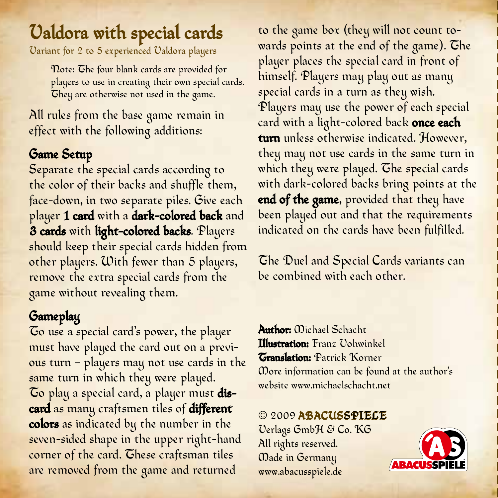## Valdora with special cards Variant for 2 to 5 experienced Valdora players

 Note: The four blank cards are provided for <sup>p</sup>layers to use in creating their own special cards. They are otherwise not used in the game.

All rules from the base game remain in effect with the following additions:

#### Game Setup

Separate the special cards according to the color of their backs and shuffle them, face-down, in two separate piles. Give each player 1 card with a dark-colored back and 3 cards with light-colored backs. Players should keep their special cards hidden from other players. With fewer than 5 players, remove the extra special cards from the game without revealing them.

### Gameplay

To use a special card's power, the player must have played the card out on a previous turn – players may not use cards in the same turn in which they were played. To play a special card, a player must discard as many craftsmen tiles of different colors as indicated by the number in the seven-sided shape in the upper right-hand corner of the card. These craftsman tiles are removed from the game and returned

to the game box (they will not count towards points at the end of the game). The player places the special card in front of himself. Players may play out as many special cards in a turn as they wish. Players may use the power of each special card with a light-colored back once each turn unless otherwise indicated. However, they may not use cards in the same turn in which they were played. The special cards with dark-colored backs bring points at the end of the game, provided that they have been played out and that the requirements indicated on the cards have been fulfilled.

The Duel and Special Cards variants can be combined with each other.

Author: Michael Schacht Illustration: Franz Vohwinkel Translation: Patrick Korner More information can be found at the author's website www.michaelschacht.net

© 2009 ABACUSSPIELE Verlags GmbH & Co. KG All rights reserved. Made in Germany www.abacusspiele.de